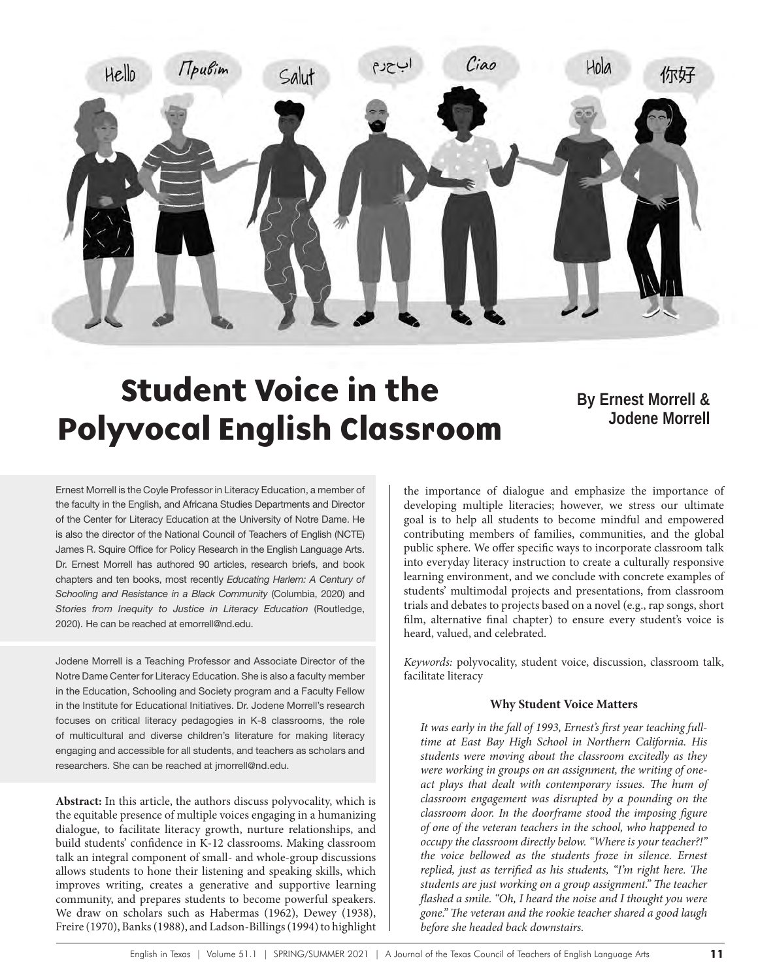

# Student Voice in the Polyvocal English Classroom

# **By Ernest Morrell & Jodene Morrell**

Ernest Morrell is the Coyle Professor in Literacy Education, a member of the faculty in the English, and Africana Studies Departments and Director of the Center for Literacy Education at the University of Notre Dame. He is also the director of the National Council of Teachers of English (NCTE) James R. Squire Office for Policy Research in the English Language Arts. Dr. Ernest Morrell has authored 90 articles, research briefs, and book chapters and ten books, most recently *Educating Harlem: A Century of Schooling and Resistance in a Black Community* (Columbia, 2020) and *Stories from Inequity to Justice in Literacy Education* (Routledge, 2020). He can be reached at emorrell@nd.edu.

Jodene Morrell is a Teaching Professor and Associate Director of the Notre Dame Center for Literacy Education. She is also a faculty member in the Education, Schooling and Society program and a Faculty Fellow in the Institute for Educational Initiatives. Dr. Jodene Morrell's research focuses on critical literacy pedagogies in K-8 classrooms, the role of multicultural and diverse children's literature for making literacy engaging and accessible for all students, and teachers as scholars and researchers. She can be reached at jmorrell@nd.edu.

**Abstract:** In this article, the authors discuss polyvocality, which is the equitable presence of multiple voices engaging in a humanizing dialogue, to facilitate literacy growth, nurture relationships, and build students' confidence in K-12 classrooms. Making classroom talk an integral component of small- and whole-group discussions allows students to hone their listening and speaking skills, which improves writing, creates a generative and supportive learning community, and prepares students to become powerful speakers. We draw on scholars such as Habermas (1962), Dewey (1938), Freire (1970), Banks (1988), and Ladson-Billings (1994) to highlight

the importance of dialogue and emphasize the importance of developing multiple literacies; however, we stress our ultimate goal is to help all students to become mindful and empowered contributing members of families, communities, and the global public sphere. We offer specific ways to incorporate classroom talk into everyday literacy instruction to create a culturally responsive learning environment, and we conclude with concrete examples of students' multimodal projects and presentations, from classroom trials and debates to projects based on a novel (e.g., rap songs, short film, alternative final chapter) to ensure every student's voice is heard, valued, and celebrated.

*Keywords:* polyvocality, student voice, discussion, classroom talk, facilitate literacy

#### **Why Student Voice Matters**

*It was early in the fall of 1993, Ernest's first year teaching fulltime at East Bay High School in Northern California. His students were moving about the classroom excitedly as they were working in groups on an assignment, the writing of oneact plays that dealt with contemporary issues. The hum of classroom engagement was disrupted by a pounding on the classroom door. In the doorframe stood the imposing figure of one of the veteran teachers in the school, who happened to occupy the classroom directly below. "Where is your teacher?!" the voice bellowed as the students froze in silence. Ernest replied, just as terrified as his students, "I'm right here. The students are just working on a group assignment." The teacher flashed a smile. "Oh, I heard the noise and I thought you were gone." The veteran and the rookie teacher shared a good laugh before she headed back downstairs.*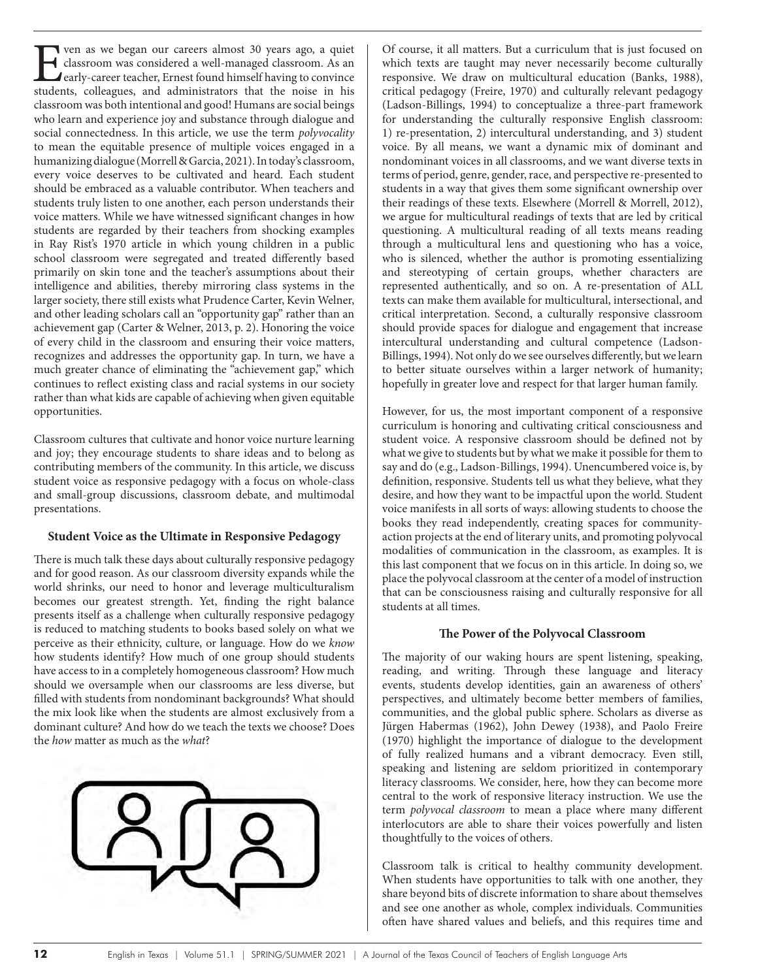The ven as we began our careers almost 30 years ago, a quiet<br>classroom was considered a well-managed classroom. As an<br>early-career teacher, Ernest found himself having to convince<br>students, colleagues, and administrators t classroom was considered a well-managed classroom. As an early-career teacher, Ernest found himself having to convince students, colleagues, and administrators that the noise in his classroom was both intentional and good! Humans are social beings who learn and experience joy and substance through dialogue and social connectedness. In this article, we use the term *polyvocality*  to mean the equitable presence of multiple voices engaged in a humanizing dialogue (Morrell & Garcia, 2021). In today's classroom, every voice deserves to be cultivated and heard. Each student should be embraced as a valuable contributor. When teachers and students truly listen to one another, each person understands their voice matters. While we have witnessed significant changes in how students are regarded by their teachers from shocking examples in Ray Rist's 1970 article in which young children in a public school classroom were segregated and treated differently based primarily on skin tone and the teacher's assumptions about their intelligence and abilities, thereby mirroring class systems in the larger society, there still exists what Prudence Carter, Kevin Welner, and other leading scholars call an "opportunity gap" rather than an achievement gap (Carter & Welner, 2013, p. 2). Honoring the voice of every child in the classroom and ensuring their voice matters, recognizes and addresses the opportunity gap. In turn, we have a much greater chance of eliminating the "achievement gap," which continues to reflect existing class and racial systems in our society rather than what kids are capable of achieving when given equitable opportunities.

Classroom cultures that cultivate and honor voice nurture learning and joy; they encourage students to share ideas and to belong as contributing members of the community. In this article, we discuss student voice as responsive pedagogy with a focus on whole-class and small-group discussions, classroom debate, and multimodal presentations.

#### **Student Voice as the Ultimate in Responsive Pedagogy**

There is much talk these days about culturally responsive pedagogy and for good reason. As our classroom diversity expands while the world shrinks, our need to honor and leverage multiculturalism becomes our greatest strength. Yet, finding the right balance presents itself as a challenge when culturally responsive pedagogy is reduced to matching students to books based solely on what we perceive as their ethnicity, culture, or language. How do we *know* how students identify? How much of one group should students have access to in a completely homogeneous classroom? How much should we oversample when our classrooms are less diverse, but filled with students from nondominant backgrounds? What should the mix look like when the students are almost exclusively from a dominant culture? And how do we teach the texts we choose? Does the *how* matter as much as the *what*?



Of course, it all matters. But a curriculum that is just focused on which texts are taught may never necessarily become culturally responsive. We draw on multicultural education (Banks, 1988), critical pedagogy (Freire, 1970) and culturally relevant pedagogy (Ladson-Billings, 1994) to conceptualize a three-part framework for understanding the culturally responsive English classroom: 1) re-presentation, 2) intercultural understanding, and 3) student voice. By all means, we want a dynamic mix of dominant and nondominant voices in all classrooms, and we want diverse texts in terms of period, genre, gender, race, and perspective re-presented to students in a way that gives them some significant ownership over their readings of these texts. Elsewhere (Morrell & Morrell, 2012), we argue for multicultural readings of texts that are led by critical questioning. A multicultural reading of all texts means reading through a multicultural lens and questioning who has a voice, who is silenced, whether the author is promoting essentializing and stereotyping of certain groups, whether characters are represented authentically, and so on. A re-presentation of ALL texts can make them available for multicultural, intersectional, and critical interpretation. Second, a culturally responsive classroom should provide spaces for dialogue and engagement that increase intercultural understanding and cultural competence (Ladson-Billings, 1994). Not only do we see ourselves differently, but we learn to better situate ourselves within a larger network of humanity; hopefully in greater love and respect for that larger human family.

However, for us, the most important component of a responsive curriculum is honoring and cultivating critical consciousness and student voice. A responsive classroom should be defined not by what we give to students but by what we make it possible for them to say and do (e.g., Ladson-Billings, 1994). Unencumbered voice is, by definition, responsive. Students tell us what they believe, what they desire, and how they want to be impactful upon the world. Student voice manifests in all sorts of ways: allowing students to choose the books they read independently, creating spaces for communityaction projects at the end of literary units, and promoting polyvocal modalities of communication in the classroom, as examples. It is this last component that we focus on in this article. In doing so, we place the polyvocal classroom at the center of a model of instruction that can be consciousness raising and culturally responsive for all students at all times.

#### **The Power of the Polyvocal Classroom**

The majority of our waking hours are spent listening, speaking, reading, and writing. Through these language and literacy events, students develop identities, gain an awareness of others' perspectives, and ultimately become better members of families, communities, and the global public sphere. Scholars as diverse as Jürgen Habermas (1962), John Dewey (1938), and Paolo Freire (1970) highlight the importance of dialogue to the development of fully realized humans and a vibrant democracy. Even still, speaking and listening are seldom prioritized in contemporary literacy classrooms. We consider, here, how they can become more central to the work of responsive literacy instruction. We use the term *polyvocal classroom* to mean a place where many different interlocutors are able to share their voices powerfully and listen thoughtfully to the voices of others.

Classroom talk is critical to healthy community development. When students have opportunities to talk with one another, they share beyond bits of discrete information to share about themselves and see one another as whole, complex individuals. Communities often have shared values and beliefs, and this requires time and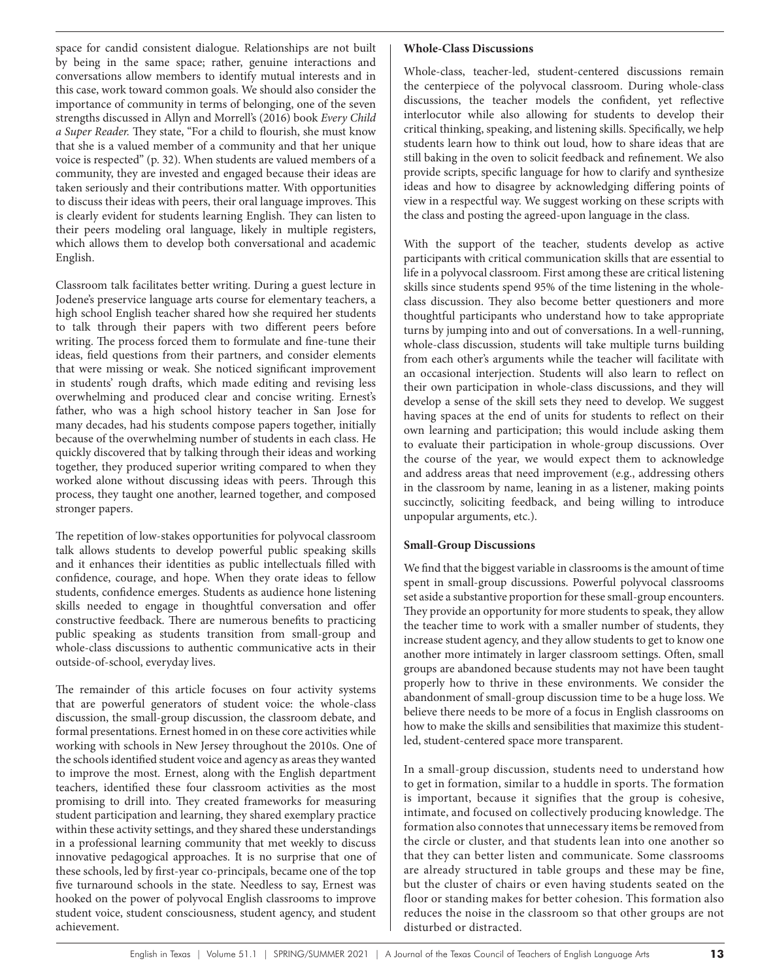space for candid consistent dialogue. Relationships are not built by being in the same space; rather, genuine interactions and conversations allow members to identify mutual interests and in this case, work toward common goals. We should also consider the importance of community in terms of belonging, one of the seven strengths discussed in Allyn and Morrell's (2016) book *Every Child a Super Reader.* They state, "For a child to flourish, she must know that she is a valued member of a community and that her unique voice is respected" (p. 32). When students are valued members of a community, they are invested and engaged because their ideas are taken seriously and their contributions matter. With opportunities to discuss their ideas with peers, their oral language improves. This is clearly evident for students learning English. They can listen to their peers modeling oral language, likely in multiple registers, which allows them to develop both conversational and academic English.

Classroom talk facilitates better writing. During a guest lecture in Jodene's preservice language arts course for elementary teachers, a high school English teacher shared how she required her students to talk through their papers with two different peers before writing. The process forced them to formulate and fine-tune their ideas, field questions from their partners, and consider elements that were missing or weak. She noticed significant improvement in students' rough drafts, which made editing and revising less overwhelming and produced clear and concise writing. Ernest's father, who was a high school history teacher in San Jose for many decades, had his students compose papers together, initially because of the overwhelming number of students in each class. He quickly discovered that by talking through their ideas and working together, they produced superior writing compared to when they worked alone without discussing ideas with peers. Through this process, they taught one another, learned together, and composed stronger papers.

The repetition of low-stakes opportunities for polyvocal classroom talk allows students to develop powerful public speaking skills and it enhances their identities as public intellectuals filled with confidence, courage, and hope. When they orate ideas to fellow students, confidence emerges. Students as audience hone listening skills needed to engage in thoughtful conversation and offer constructive feedback. There are numerous benefits to practicing public speaking as students transition from small-group and whole-class discussions to authentic communicative acts in their outside-of-school, everyday lives.

The remainder of this article focuses on four activity systems that are powerful generators of student voice: the whole-class discussion, the small-group discussion, the classroom debate, and formal presentations. Ernest homed in on these core activities while working with schools in New Jersey throughout the 2010s. One of the schools identified student voice and agency as areas they wanted to improve the most. Ernest, along with the English department teachers, identified these four classroom activities as the most promising to drill into. They created frameworks for measuring student participation and learning, they shared exemplary practice within these activity settings, and they shared these understandings in a professional learning community that met weekly to discuss innovative pedagogical approaches. It is no surprise that one of these schools, led by first-year co-principals, became one of the top five turnaround schools in the state. Needless to say, Ernest was hooked on the power of polyvocal English classrooms to improve student voice, student consciousness, student agency, and student achievement.

## **Whole-Class Discussions**

Whole-class, teacher-led, student-centered discussions remain the centerpiece of the polyvocal classroom. During whole-class discussions, the teacher models the confident, yet reflective interlocutor while also allowing for students to develop their critical thinking, speaking, and listening skills. Specifically, we help students learn how to think out loud, how to share ideas that are still baking in the oven to solicit feedback and refinement. We also provide scripts, specific language for how to clarify and synthesize ideas and how to disagree by acknowledging differing points of view in a respectful way. We suggest working on these scripts with the class and posting the agreed-upon language in the class.

With the support of the teacher, students develop as active participants with critical communication skills that are essential to life in a polyvocal classroom. First among these are critical listening skills since students spend 95% of the time listening in the wholeclass discussion. They also become better questioners and more thoughtful participants who understand how to take appropriate turns by jumping into and out of conversations. In a well-running, whole-class discussion, students will take multiple turns building from each other's arguments while the teacher will facilitate with an occasional interjection. Students will also learn to reflect on their own participation in whole-class discussions, and they will develop a sense of the skill sets they need to develop. We suggest having spaces at the end of units for students to reflect on their own learning and participation; this would include asking them to evaluate their participation in whole-group discussions. Over the course of the year, we would expect them to acknowledge and address areas that need improvement (e.g., addressing others in the classroom by name, leaning in as a listener, making points succinctly, soliciting feedback, and being willing to introduce unpopular arguments, etc.).

# **Small-Group Discussions**

We find that the biggest variable in classrooms is the amount of time spent in small-group discussions. Powerful polyvocal classrooms set aside a substantive proportion for these small-group encounters. They provide an opportunity for more students to speak, they allow the teacher time to work with a smaller number of students, they increase student agency, and they allow students to get to know one another more intimately in larger classroom settings. Often, small groups are abandoned because students may not have been taught properly how to thrive in these environments. We consider the abandonment of small-group discussion time to be a huge loss. We believe there needs to be more of a focus in English classrooms on how to make the skills and sensibilities that maximize this studentled, student-centered space more transparent.

In a small-group discussion, students need to understand how to get in formation, similar to a huddle in sports. The formation is important, because it signifies that the group is cohesive, intimate, and focused on collectively producing knowledge. The formation also connotes that unnecessary items be removed from the circle or cluster, and that students lean into one another so that they can better listen and communicate. Some classrooms are already structured in table groups and these may be fine, but the cluster of chairs or even having students seated on the floor or standing makes for better cohesion. This formation also reduces the noise in the classroom so that other groups are not disturbed or distracted.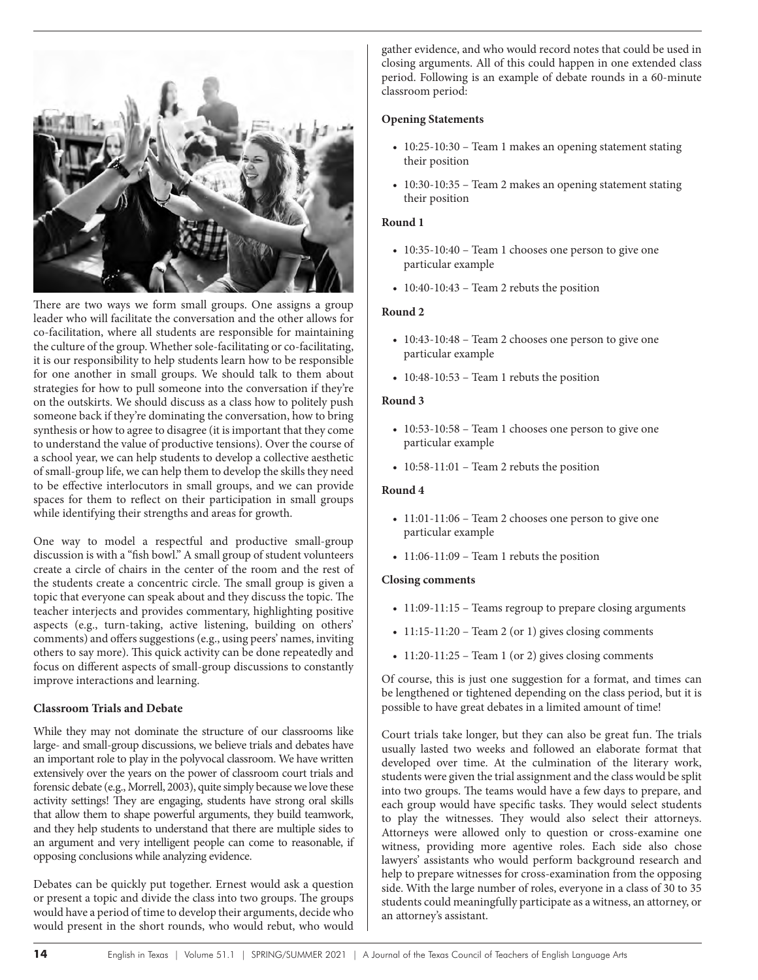

There are two ways we form small groups. One assigns a group leader who will facilitate the conversation and the other allows for co-facilitation, where all students are responsible for maintaining the culture of the group. Whether sole-facilitating or co-facilitating, it is our responsibility to help students learn how to be responsible for one another in small groups. We should talk to them about strategies for how to pull someone into the conversation if they're on the outskirts. We should discuss as a class how to politely push someone back if they're dominating the conversation, how to bring synthesis or how to agree to disagree (it is important that they come to understand the value of productive tensions). Over the course of a school year, we can help students to develop a collective aesthetic of small-group life, we can help them to develop the skills they need to be effective interlocutors in small groups, and we can provide spaces for them to reflect on their participation in small groups while identifying their strengths and areas for growth.

One way to model a respectful and productive small-group discussion is with a "fish bowl." A small group of student volunteers create a circle of chairs in the center of the room and the rest of the students create a concentric circle. The small group is given a topic that everyone can speak about and they discuss the topic. The teacher interjects and provides commentary, highlighting positive aspects (e.g., turn-taking, active listening, building on others' comments) and offers suggestions (e.g., using peers' names, inviting others to say more). This quick activity can be done repeatedly and focus on different aspects of small-group discussions to constantly improve interactions and learning.

#### **Classroom Trials and Debate**

While they may not dominate the structure of our classrooms like large- and small-group discussions, we believe trials and debates have an important role to play in the polyvocal classroom. We have written extensively over the years on the power of classroom court trials and forensic debate (e.g., Morrell, 2003), quite simply because we love these activity settings! They are engaging, students have strong oral skills that allow them to shape powerful arguments, they build teamwork, and they help students to understand that there are multiple sides to an argument and very intelligent people can come to reasonable, if opposing conclusions while analyzing evidence.

Debates can be quickly put together. Ernest would ask a question or present a topic and divide the class into two groups. The groups would have a period of time to develop their arguments, decide who would present in the short rounds, who would rebut, who would gather evidence, and who would record notes that could be used in closing arguments. All of this could happen in one extended class period. Following is an example of debate rounds in a 60-minute classroom period:

### **Opening Statements**

- 10:25-10:30 Team 1 makes an opening statement stating their position
- 10:30-10:35 Team 2 makes an opening statement stating their position

#### **Round 1**

- 10:35-10:40 Team 1 chooses one person to give one particular example
- $\cdot$  10:40-10:43 Team 2 rebuts the position

#### **Round 2**

- 10:43-10:48 Team 2 chooses one person to give one particular example
- 10:48-10:53 Team 1 rebuts the position

#### **Round 3**

- 10:53-10:58 Team 1 chooses one person to give one particular example
- 10:58-11:01 Team 2 rebuts the position

#### **Round 4**

- 11:01-11:06 Team 2 chooses one person to give one particular example
- 11:06-11:09 Team 1 rebuts the position

#### **Closing comments**

- 11:09-11:15 Teams regroup to prepare closing arguments
- 11:15-11:20 Team 2 (or 1) gives closing comments
- $\cdot$  11:20-11:25 Team 1 (or 2) gives closing comments

Of course, this is just one suggestion for a format, and times can be lengthened or tightened depending on the class period, but it is possible to have great debates in a limited amount of time!

Court trials take longer, but they can also be great fun. The trials usually lasted two weeks and followed an elaborate format that developed over time. At the culmination of the literary work, students were given the trial assignment and the class would be split into two groups. The teams would have a few days to prepare, and each group would have specific tasks. They would select students to play the witnesses. They would also select their attorneys. Attorneys were allowed only to question or cross-examine one witness, providing more agentive roles. Each side also chose lawyers' assistants who would perform background research and help to prepare witnesses for cross-examination from the opposing side. With the large number of roles, everyone in a class of 30 to 35 students could meaningfully participate as a witness, an attorney, or an attorney's assistant.